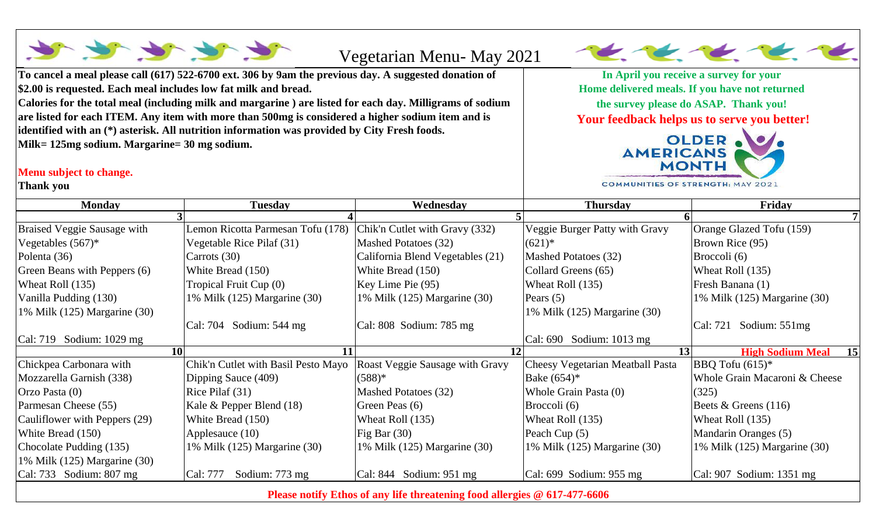|                                                                           |                                                                                                          | Vegetarian Menu- May 2021                                                                                       |                                   |                                      |  |  |  |
|---------------------------------------------------------------------------|----------------------------------------------------------------------------------------------------------|-----------------------------------------------------------------------------------------------------------------|-----------------------------------|--------------------------------------|--|--|--|
|                                                                           | To cancel a meal please call (617) 522-6700 ext. 306 by 9am the previous day. A suggested donation of    | In April you receive a survey for your                                                                          |                                   |                                      |  |  |  |
| \$2.00 is requested. Each meal includes low fat milk and bread.           |                                                                                                          | Home delivered meals. If you have not returned                                                                  |                                   |                                      |  |  |  |
|                                                                           | Calories for the total meal (including milk and margarine) are listed for each day. Milligrams of sodium | the survey please do ASAP. Thank you!<br>Your feedback helps us to serve you better!<br>OLDER .<br><b>MONTH</b> |                                   |                                      |  |  |  |
|                                                                           | are listed for each ITEM. Any item with more than 500mg is considered a higher sodium item and is        |                                                                                                                 |                                   |                                      |  |  |  |
|                                                                           | identified with an (*) asterisk. All nutrition information was provided by City Fresh foods.             |                                                                                                                 |                                   |                                      |  |  |  |
| Milk= 125mg sodium. Margarine= 30 mg sodium.                              |                                                                                                          |                                                                                                                 |                                   |                                      |  |  |  |
| Menu subject to change.                                                   |                                                                                                          |                                                                                                                 |                                   |                                      |  |  |  |
| Thank you                                                                 |                                                                                                          |                                                                                                                 | COMMUNITIES OF STRENGTH: MAY 2021 |                                      |  |  |  |
| <b>Monday</b>                                                             | <b>Tuesday</b>                                                                                           | Wednesday                                                                                                       | <b>Thursday</b>                   | Friday                               |  |  |  |
|                                                                           |                                                                                                          |                                                                                                                 |                                   |                                      |  |  |  |
| Braised Veggie Sausage with                                               | Lemon Ricotta Parmesan Tofu (178)                                                                        | Chik'n Cutlet with Gravy (332)                                                                                  | Veggie Burger Patty with Gravy    | Orange Glazed Tofu (159)             |  |  |  |
| Vegetables $(567)^*$                                                      | Vegetable Rice Pilaf (31)                                                                                | Mashed Potatoes (32)                                                                                            | $(621)*$                          | Brown Rice (95)                      |  |  |  |
| Polenta (36)                                                              | Carrots (30)                                                                                             | California Blend Vegetables (21)                                                                                | Mashed Potatoes (32)              | Broccoli (6)                         |  |  |  |
| Green Beans with Peppers (6)                                              | White Bread (150)                                                                                        | White Bread (150)                                                                                               | Collard Greens (65)               | Wheat Roll (135)                     |  |  |  |
| Wheat Roll (135)                                                          | Tropical Fruit Cup (0)                                                                                   | Key Lime Pie (95)                                                                                               | Wheat Roll (135)                  | Fresh Banana (1)                     |  |  |  |
| Vanilla Pudding (130)                                                     | 1% Milk (125) Margarine (30)                                                                             | 1% Milk (125) Margarine (30)                                                                                    | Pears $(5)$                       | 1% Milk (125) Margarine (30)         |  |  |  |
| 1% Milk (125) Margarine (30)                                              |                                                                                                          |                                                                                                                 | 1% Milk (125) Margarine (30)      |                                      |  |  |  |
|                                                                           | Cal: 704 Sodium: 544 mg                                                                                  | Cal: 808 Sodium: 785 mg                                                                                         |                                   | $\text{Cal: } 721$ Sodium: 551mg     |  |  |  |
| Cal: 719 Sodium: 1029 mg                                                  |                                                                                                          |                                                                                                                 | Cal: 690 Sodium: 1013 mg          |                                      |  |  |  |
|                                                                           | <b>10</b><br>11                                                                                          | 12                                                                                                              | 13                                | <b>High Sodium Meal</b><br><b>15</b> |  |  |  |
| Chickpea Carbonara with                                                   | Chik'n Cutlet with Basil Pesto Mayo                                                                      | Roast Veggie Sausage with Gravy                                                                                 | Cheesy Vegetarian Meatball Pasta  | BBQ Tofu $(615)*$                    |  |  |  |
| Mozzarella Garnish (338)                                                  | Dipping Sauce (409)                                                                                      | $(588)*$                                                                                                        | Bake $(654)*$                     | Whole Grain Macaroni & Cheese        |  |  |  |
| Orzo Pasta (0)                                                            | Rice Pilaf (31)                                                                                          | Mashed Potatoes (32)                                                                                            | Whole Grain Pasta (0)             | (325)                                |  |  |  |
| Parmesan Cheese (55)                                                      | Kale & Pepper Blend (18)                                                                                 | Green Peas (6)                                                                                                  | Broccoli (6)                      | Beets $&$ Greens (116)               |  |  |  |
| Cauliflower with Peppers (29)                                             | White Bread (150)                                                                                        | Wheat Roll (135)                                                                                                | Wheat Roll (135)                  | Wheat Roll (135)                     |  |  |  |
| White Bread (150)                                                         | Applesauce (10)                                                                                          | Fig Bar $(30)$                                                                                                  | Peach Cup (5)                     | Mandarin Oranges (5)                 |  |  |  |
| Chocolate Pudding (135)                                                   | 1% Milk (125) Margarine (30)                                                                             | 1% Milk (125) Margarine (30)                                                                                    | 1% Milk (125) Margarine (30)      | 1% Milk (125) Margarine (30)         |  |  |  |
| 1% Milk $(125)$ Margarine $(30)$                                          |                                                                                                          |                                                                                                                 |                                   |                                      |  |  |  |
| Cal: 733 Sodium: 807 mg                                                   | Cal: 777<br>Sodium: 773 mg                                                                               | Cal: $844$ Sodium: $951$ mg                                                                                     | Cal: $699$ Sodium: $955$ mg       | Cal: 907 Sodium: 1351 mg             |  |  |  |
| Please notify Ethos of any life threatening food allergies @ 617-477-6606 |                                                                                                          |                                                                                                                 |                                   |                                      |  |  |  |